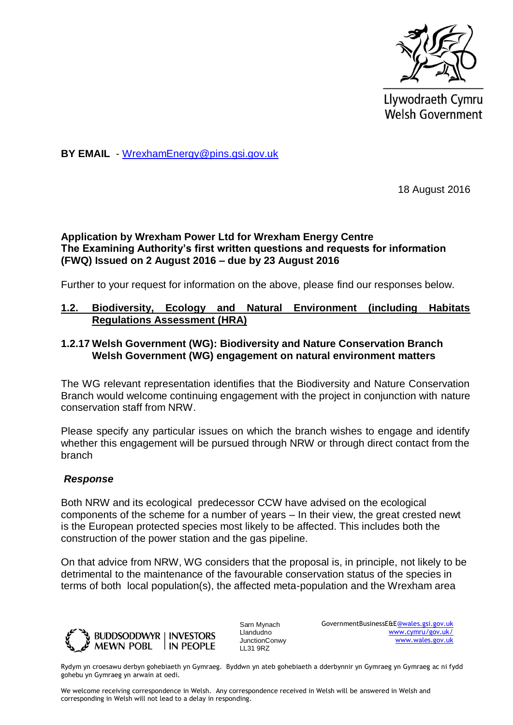

Llywodraeth Cymru **Welsh Government** 

**BY EMAIL** - [WrexhamEnergy@pins.gsi.gov.uk](mailto:WrexhamEnergy@pins.gsi.gov.uk)

18 August 2016

### **Application by Wrexham Power Ltd for Wrexham Energy Centre The Examining Authority's first written questions and requests for information (FWQ) Issued on 2 August 2016 – due by 23 August 2016**

Further to your request for information on the above, please find our responses below.

#### **1.2. Biodiversity, Ecology and Natural Environment (including Habitats Regulations Assessment (HRA)**

### **1.2.17 Welsh Government (WG): Biodiversity and Nature Conservation Branch Welsh Government (WG) engagement on natural environment matters**

The WG relevant representation identifies that the Biodiversity and Nature Conservation Branch would welcome continuing engagement with the project in conjunction with nature conservation staff from NRW.

Please specify any particular issues on which the branch wishes to engage and identify whether this engagement will be pursued through NRW or through direct contact from the branch

#### *Response*

Both NRW and its ecological predecessor CCW have advised on the ecological components of the scheme for a number of years – In their view, the great crested newt is the European protected species most likely to be affected. This includes both the construction of the power station and the gas pipeline.

On that advice from NRW, WG considers that the proposal is, in principle, not likely to be detrimental to the maintenance of the favourable conservation status of the species in terms of both local population(s), the affected meta-population and the Wrexham area



Sarn Mynach Llandudno JunctionConwy LL31 9RZ

GovernmentBusinessE&[E@wales.gsi.gov.uk](mailto:XXX.XXX@wales.gsi.gov.uk) [www.cymru/gov.uk/](http://www.cymru/gov.uk/) [www.wales.gov.uk](http://www.wales.gov.uk/)

Rydym yn croesawu derbyn gohebiaeth yn Gymraeg. Byddwn yn ateb gohebiaeth a dderbynnir yn Gymraeg yn Gymraeg ac ni fydd gohebu yn Gymraeg yn arwain at oedi.

We welcome receiving correspondence in Welsh. Any correspondence received in Welsh will be answered in Welsh and corresponding in Welsh will not lead to a delay in responding.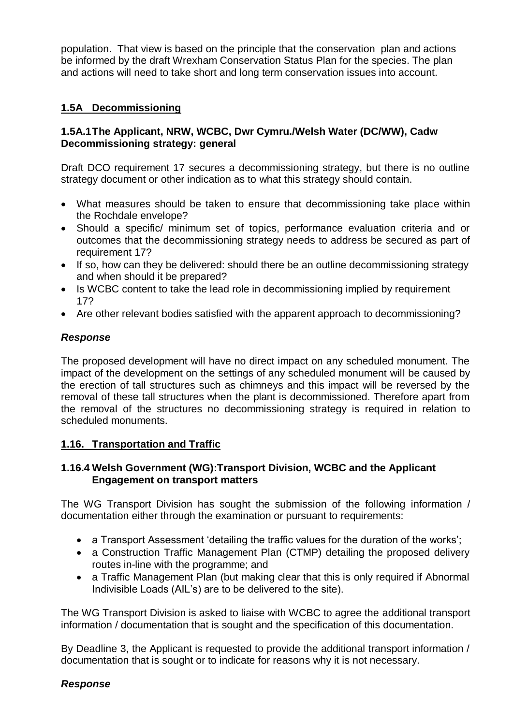population. That view is based on the principle that the conservation plan and actions be informed by the draft Wrexham Conservation Status Plan for the species. The plan and actions will need to take short and long term conservation issues into account.

# **1.5A Decommissioning**

### **1.5A.1The Applicant, NRW, WCBC, Dwr Cymru./Welsh Water (DC/WW), Cadw Decommissioning strategy: general**

Draft DCO requirement 17 secures a decommissioning strategy, but there is no outline strategy document or other indication as to what this strategy should contain.

- What measures should be taken to ensure that decommissioning take place within the Rochdale envelope?
- Should a specific/ minimum set of topics, performance evaluation criteria and or outcomes that the decommissioning strategy needs to address be secured as part of requirement 17?
- If so, how can they be delivered: should there be an outline decommissioning strategy and when should it be prepared?
- Is WCBC content to take the lead role in decommissioning implied by requirement 17?
- Are other relevant bodies satisfied with the apparent approach to decommissioning?

## *Response*

The proposed development will have no direct impact on any scheduled monument. The impact of the development on the settings of any scheduled monument will be caused by the erection of tall structures such as chimneys and this impact will be reversed by the removal of these tall structures when the plant is decommissioned. Therefore apart from the removal of the structures no decommissioning strategy is required in relation to scheduled monuments.

## **1.16. Transportation and Traffic**

### **1.16.4 Welsh Government (WG):Transport Division, WCBC and the Applicant Engagement on transport matters**

The WG Transport Division has sought the submission of the following information / documentation either through the examination or pursuant to requirements:

- a Transport Assessment 'detailing the traffic values for the duration of the works';
- a Construction Traffic Management Plan (CTMP) detailing the proposed delivery routes in-line with the programme; and
- a Traffic Management Plan (but making clear that this is only required if Abnormal Indivisible Loads (AIL's) are to be delivered to the site).

The WG Transport Division is asked to liaise with WCBC to agree the additional transport information / documentation that is sought and the specification of this documentation.

By Deadline 3, the Applicant is requested to provide the additional transport information / documentation that is sought or to indicate for reasons why it is not necessary.

#### *Response*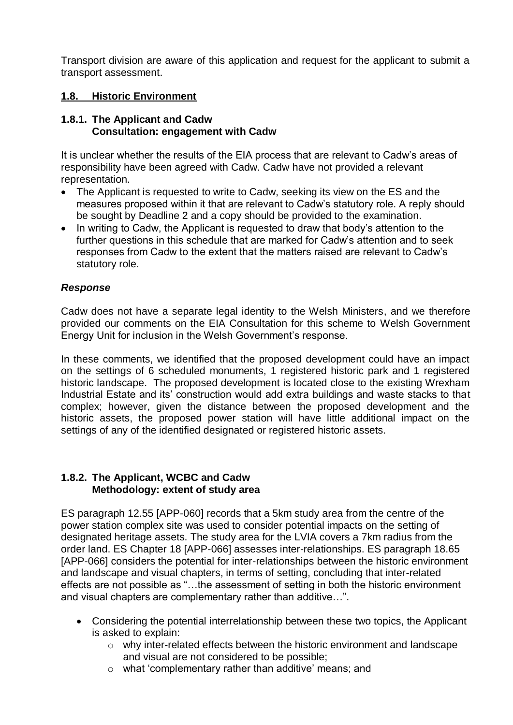Transport division are aware of this application and request for the applicant to submit a transport assessment.

## **1.8. Historic Environment**

### **1.8.1. The Applicant and Cadw Consultation: engagement with Cadw**

It is unclear whether the results of the EIA process that are relevant to Cadw's areas of responsibility have been agreed with Cadw. Cadw have not provided a relevant representation.

- The Applicant is requested to write to Cadw, seeking its view on the ES and the measures proposed within it that are relevant to Cadw's statutory role. A reply should be sought by Deadline 2 and a copy should be provided to the examination.
- In writing to Cadw, the Applicant is requested to draw that body's attention to the further questions in this schedule that are marked for Cadw's attention and to seek responses from Cadw to the extent that the matters raised are relevant to Cadw's statutory role.

## *Response*

Cadw does not have a separate legal identity to the Welsh Ministers, and we therefore provided our comments on the EIA Consultation for this scheme to Welsh Government Energy Unit for inclusion in the Welsh Government's response.

In these comments, we identified that the proposed development could have an impact on the settings of 6 scheduled monuments, 1 registered historic park and 1 registered historic landscape. The proposed development is located close to the existing Wrexham Industrial Estate and its' construction would add extra buildings and waste stacks to that complex; however, given the distance between the proposed development and the historic assets, the proposed power station will have little additional impact on the settings of any of the identified designated or registered historic assets.

### **1.8.2. The Applicant, WCBC and Cadw Methodology: extent of study area**

ES paragraph 12.55 [APP-060] records that a 5km study area from the centre of the power station complex site was used to consider potential impacts on the setting of designated heritage assets. The study area for the LVIA covers a 7km radius from the order land. ES Chapter 18 [APP-066] assesses inter-relationships. ES paragraph 18.65 [APP-066] considers the potential for inter-relationships between the historic environment and landscape and visual chapters, in terms of setting, concluding that inter-related effects are not possible as "…the assessment of setting in both the historic environment and visual chapters are complementary rather than additive…".

- Considering the potential interrelationship between these two topics, the Applicant is asked to explain:
	- o why inter-related effects between the historic environment and landscape and visual are not considered to be possible;
	- o what 'complementary rather than additive' means; and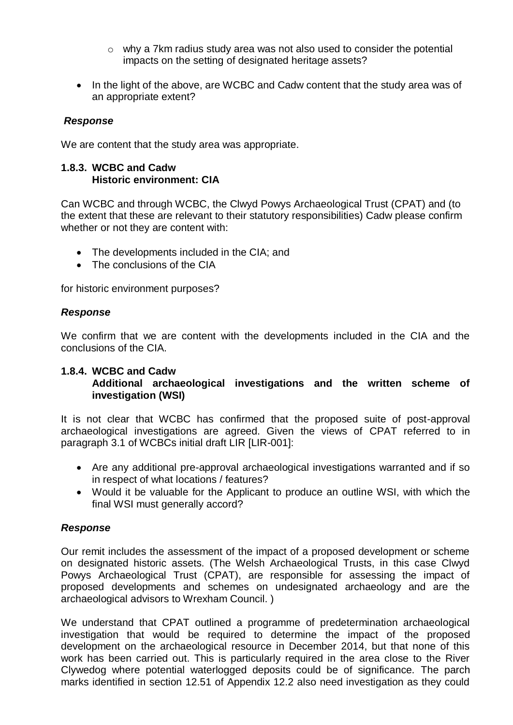- o why a 7km radius study area was not also used to consider the potential impacts on the setting of designated heritage assets?
- In the light of the above, are WCBC and Cadw content that the study area was of an appropriate extent?

### *Response*

We are content that the study area was appropriate.

#### **1.8.3. WCBC and Cadw Historic environment: CIA**

Can WCBC and through WCBC, the Clwyd Powys Archaeological Trust (CPAT) and (to the extent that these are relevant to their statutory responsibilities) Cadw please confirm whether or not they are content with:

- The developments included in the CIA; and
- The conclusions of the CIA

for historic environment purposes?

#### *Response*

We confirm that we are content with the developments included in the CIA and the conclusions of the CIA.

## **1.8.4. WCBC and Cadw**

### **Additional archaeological investigations and the written scheme of investigation (WSI)**

It is not clear that WCBC has confirmed that the proposed suite of post-approval archaeological investigations are agreed. Given the views of CPAT referred to in paragraph 3.1 of WCBCs initial draft LIR [LIR-001]:

- Are any additional pre-approval archaeological investigations warranted and if so in respect of what locations / features?
- Would it be valuable for the Applicant to produce an outline WSI, with which the final WSI must generally accord?

#### *Response*

Our remit includes the assessment of the impact of a proposed development or scheme on designated historic assets. (The Welsh Archaeological Trusts, in this case Clwyd Powys Archaeological Trust (CPAT), are responsible for assessing the impact of proposed developments and schemes on undesignated archaeology and are the archaeological advisors to Wrexham Council. )

We understand that CPAT outlined a programme of predetermination archaeological investigation that would be required to determine the impact of the proposed development on the archaeological resource in December 2014, but that none of this work has been carried out. This is particularly required in the area close to the River Clywedog where potential waterlogged deposits could be of significance. The parch marks identified in section 12.51 of Appendix 12.2 also need investigation as they could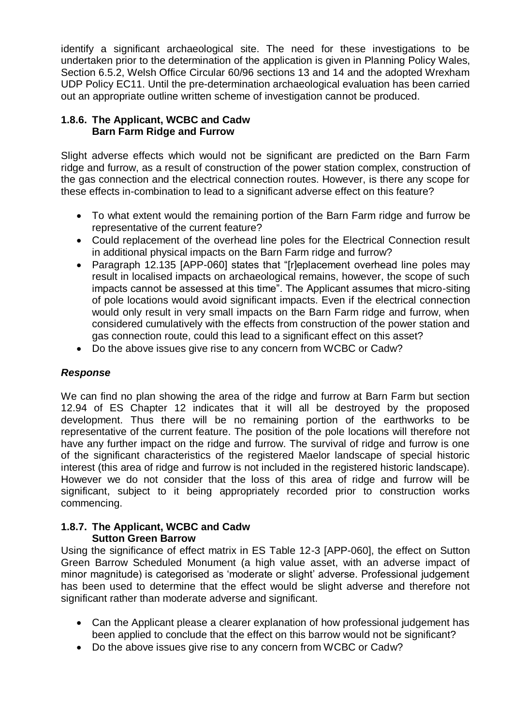identify a significant archaeological site. The need for these investigations to be undertaken prior to the determination of the application is given in Planning Policy Wales, Section 6.5.2, Welsh Office Circular 60/96 sections 13 and 14 and the adopted Wrexham UDP Policy EC11. Until the pre-determination archaeological evaluation has been carried out an appropriate outline written scheme of investigation cannot be produced.

### **1.8.6. The Applicant, WCBC and Cadw Barn Farm Ridge and Furrow**

Slight adverse effects which would not be significant are predicted on the Barn Farm ridge and furrow, as a result of construction of the power station complex, construction of the gas connection and the electrical connection routes. However, is there any scope for these effects in-combination to lead to a significant adverse effect on this feature?

- To what extent would the remaining portion of the Barn Farm ridge and furrow be representative of the current feature?
- Could replacement of the overhead line poles for the Electrical Connection result in additional physical impacts on the Barn Farm ridge and furrow?
- Paragraph 12.135 [APP-060] states that "[r]eplacement overhead line poles may result in localised impacts on archaeological remains, however, the scope of such impacts cannot be assessed at this time". The Applicant assumes that micro-siting of pole locations would avoid significant impacts. Even if the electrical connection would only result in very small impacts on the Barn Farm ridge and furrow, when considered cumulatively with the effects from construction of the power station and gas connection route, could this lead to a significant effect on this asset?
- Do the above issues give rise to any concern from WCBC or Cadw?

## *Response*

We can find no plan showing the area of the ridge and furrow at Barn Farm but section 12.94 of ES Chapter 12 indicates that it will all be destroyed by the proposed development. Thus there will be no remaining portion of the earthworks to be representative of the current feature. The position of the pole locations will therefore not have any further impact on the ridge and furrow. The survival of ridge and furrow is one of the significant characteristics of the registered Maelor landscape of special historic interest (this area of ridge and furrow is not included in the registered historic landscape). However we do not consider that the loss of this area of ridge and furrow will be significant, subject to it being appropriately recorded prior to construction works commencing.

#### **1.8.7. The Applicant, WCBC and Cadw Sutton Green Barrow**

Using the significance of effect matrix in ES Table 12-3 [APP-060], the effect on Sutton Green Barrow Scheduled Monument (a high value asset, with an adverse impact of minor magnitude) is categorised as 'moderate or slight' adverse. Professional judgement has been used to determine that the effect would be slight adverse and therefore not significant rather than moderate adverse and significant.

- Can the Applicant please a clearer explanation of how professional judgement has been applied to conclude that the effect on this barrow would not be significant?
- Do the above issues give rise to any concern from WCBC or Cadw?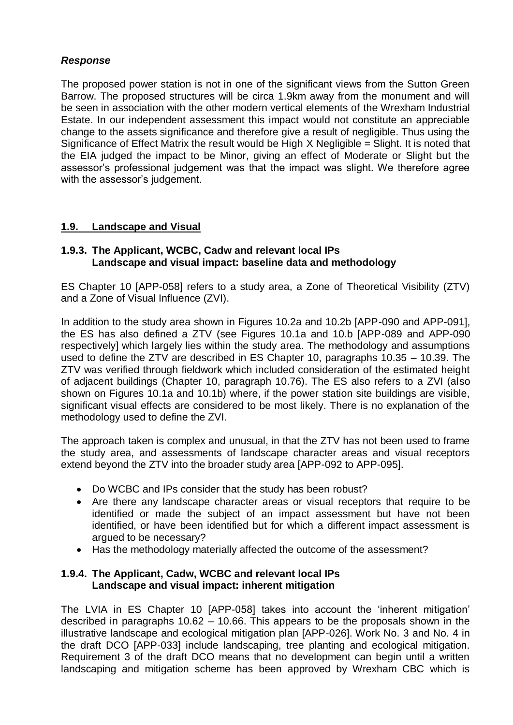## *Response*

The proposed power station is not in one of the significant views from the Sutton Green Barrow. The proposed structures will be circa 1.9km away from the monument and will be seen in association with the other modern vertical elements of the Wrexham Industrial Estate. In our independent assessment this impact would not constitute an appreciable change to the assets significance and therefore give a result of negligible. Thus using the Significance of Effect Matrix the result would be High X Negligible = Slight. It is noted that the EIA judged the impact to be Minor, giving an effect of Moderate or Slight but the assessor's professional judgement was that the impact was slight. We therefore agree with the assessor's judgement.

### **1.9. Landscape and Visual**

#### **1.9.3. The Applicant, WCBC, Cadw and relevant local IPs Landscape and visual impact: baseline data and methodology**

ES Chapter 10 [APP-058] refers to a study area, a Zone of Theoretical Visibility (ZTV) and a Zone of Visual Influence (ZVI).

In addition to the study area shown in Figures 10.2a and 10.2b [APP-090 and APP-091], the ES has also defined a ZTV (see Figures 10.1a and 10.b [APP-089 and APP-090 respectively] which largely lies within the study area. The methodology and assumptions used to define the ZTV are described in ES Chapter 10, paragraphs 10.35 – 10.39. The ZTV was verified through fieldwork which included consideration of the estimated height of adjacent buildings (Chapter 10, paragraph 10.76). The ES also refers to a ZVI (also shown on Figures 10.1a and 10.1b) where, if the power station site buildings are visible, significant visual effects are considered to be most likely. There is no explanation of the methodology used to define the ZVI.

The approach taken is complex and unusual, in that the ZTV has not been used to frame the study area, and assessments of landscape character areas and visual receptors extend beyond the ZTV into the broader study area [APP-092 to APP-095].

- Do WCBC and IPs consider that the study has been robust?
- Are there any landscape character areas or visual receptors that require to be identified or made the subject of an impact assessment but have not been identified, or have been identified but for which a different impact assessment is argued to be necessary?
- Has the methodology materially affected the outcome of the assessment?

#### **1.9.4. The Applicant, Cadw, WCBC and relevant local IPs Landscape and visual impact: inherent mitigation**

The LVIA in ES Chapter 10 [APP-058] takes into account the 'inherent mitigation' described in paragraphs 10.62 – 10.66. This appears to be the proposals shown in the illustrative landscape and ecological mitigation plan [APP-026]. Work No. 3 and No. 4 in the draft DCO [APP-033] include landscaping, tree planting and ecological mitigation. Requirement 3 of the draft DCO means that no development can begin until a written landscaping and mitigation scheme has been approved by Wrexham CBC which is